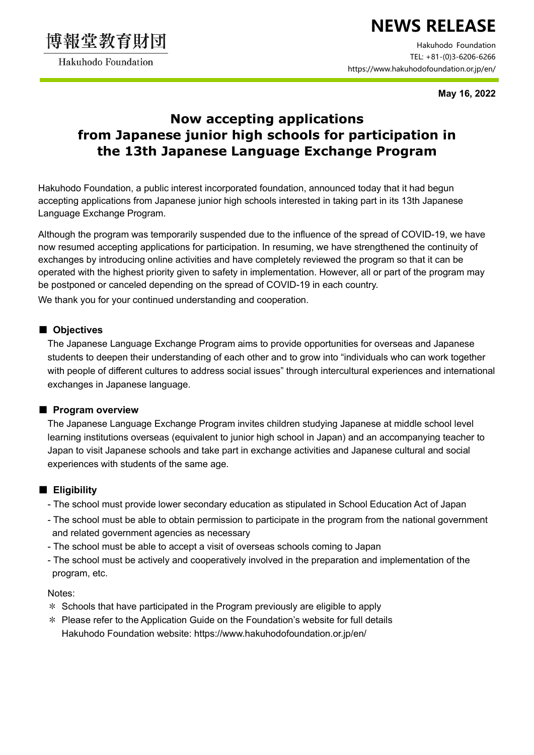

Hakuhodo Foundation

# NEWS RELEASE

Hakuhodo Foundation TEL: +81-(0)3-6206-6266 https://www.hakuhodofoundation.or.jp/en/

May 16, 2022

## Now accepting applications from Japanese junior high schools for participation in the 13th Japanese Language Exchange Program

Hakuhodo Foundation, a public interest incorporated foundation, announced today that it had begun accepting applications from Japanese junior high schools interested in taking part in its 13th Japanese Language Exchange Program.

Although the program was temporarily suspended due to the influence of the spread of COVID-19, we have now resumed accepting applications for participation. In resuming, we have strengthened the continuity of exchanges by introducing online activities and have completely reviewed the program so that it can be operated with the highest priority given to safety in implementation. However, all or part of the program may be postponed or canceled depending on the spread of COVID-19 in each country. We thank you for your continued understanding and cooperation.

#### ■ Objectives

The Japanese Language Exchange Program aims to provide opportunities for overseas and Japanese students to deepen their understanding of each other and to grow into "individuals who can work together with people of different cultures to address social issues" through intercultural experiences and international exchanges in Japanese language.

#### ■ Program overview

The Japanese Language Exchange Program invites children studying Japanese at middle school level learning institutions overseas (equivalent to junior high school in Japan) and an accompanying teacher to Japan to visit Japanese schools and take part in exchange activities and Japanese cultural and social experiences with students of the same age.

### ■ Eligibility

- The school must provide lower secondary education as stipulated in School Education Act of Japan
- The school must be able to obtain permission to participate in the program from the national government and related government agencies as necessary
- The school must be able to accept a visit of overseas schools coming to Japan
- The school must be actively and cooperatively involved in the preparation and implementation of the program, etc.

Notes:

- \* Schools that have participated in the Program previously are eligible to apply
- \* Please refer to the Application Guide on the Foundation's website for full details Hakuhodo Foundation website: https://www.hakuhodofoundation.or.jp/en/